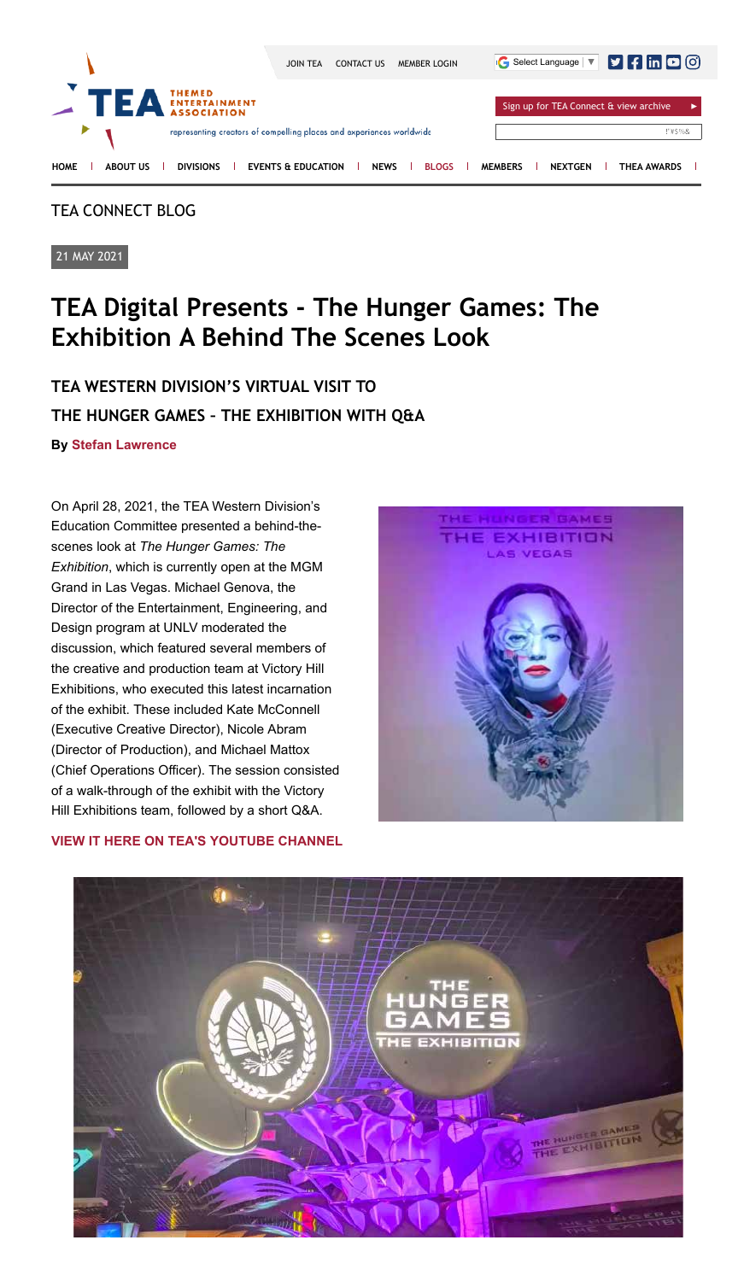# TEA CONNECT BLOG

21 MAY 2021

# **TEA Digital Presents - The Hunger Games: The Exhibition A Behind The Scenes Look**

# **TEA WESTERN DIVISION'S VIRTUAL VISIT TO THE HUNGER GAMES – THE EXHIBITION WITH Q&A**

**By Stefan Lawrence**

On April 28, 2021, the TEA Western Division's Education Committee presented a behind-thescenes look at *The Hunger Games: The Exhibition*, which is currently open at the MGM Grand in Las Vegas. Michael Genova, the Director of the Entertainment, Engineering, and Design program at UNLV moderated the discussion, which featured several members of the creative and production team at Victory Hill Exhibitions, who executed this latest incarnation of the exhibit. These included Kate McConnell (Executive Creative Director), Nicole Abram (Director of Production), and Michael Mattox (Chief Operations Officer). The session consisted of a walk-through of the exhibit with the Victory Hill Exhibitions team, followed by a short Q&A.



## **VIEW IT HERE ON TEA'S YOUTUBE CHANNEL**



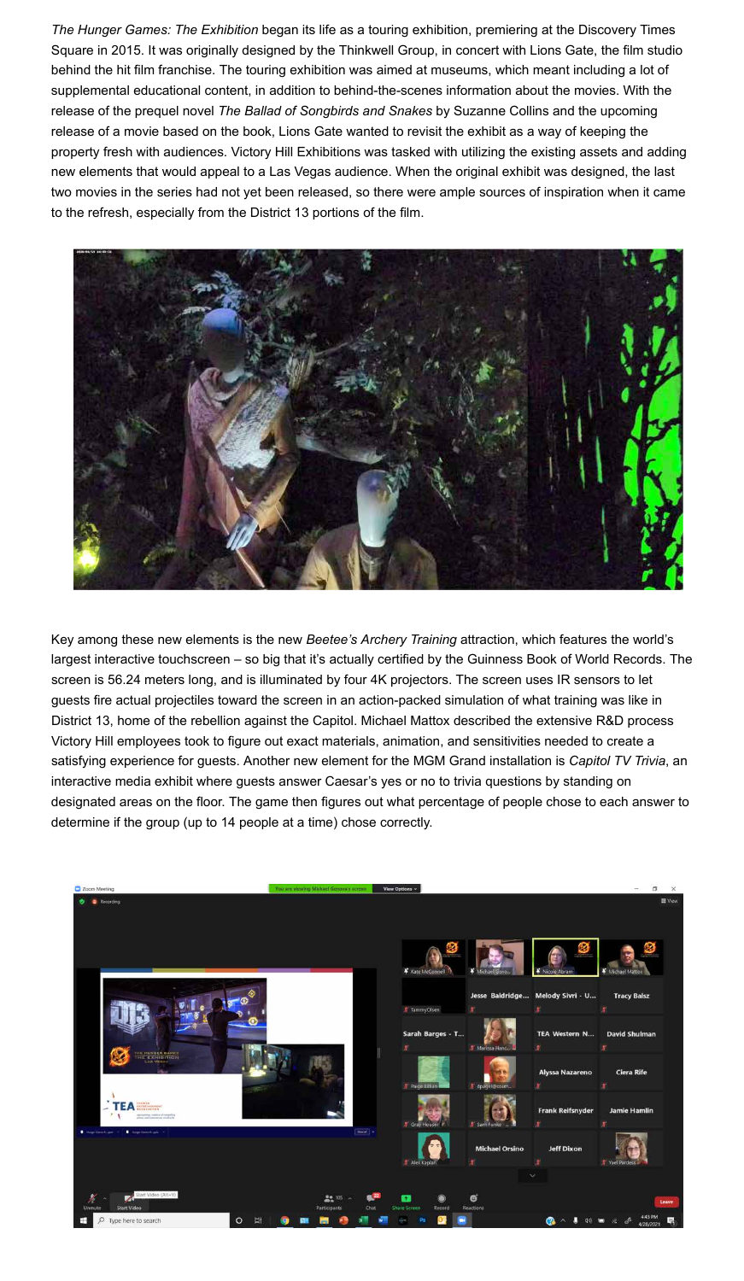*The Hunger Games: The Exhibition* began its life as a touring exhibition, premiering at the Discovery Times Square in 2015. It was originally designed by the Thinkwell Group, in concert with Lions Gate, the film studio behind the hit film franchise. The touring exhibition was aimed at museums, which meant including a lot of supplemental educational content, in addition to behind-the-scenes information about the movies. With the release of the prequel novel *The Ballad of Songbirds and Snakes* by Suzanne Collins and the upcoming release of a movie based on the book, Lions Gate wanted to revisit the exhibit as a way of keeping the property fresh with audiences. Victory Hill Exhibitions was tasked with utilizing the existing assets and adding new elements that would appeal to a Las Vegas audience. When the original exhibit was designed, the last two movies in the series had not yet been released, so there were ample sources of inspiration when it came to the refresh, especially from the District 13 portions of the film.



Key among these new elements is the new *Beetee's Archery Training* attraction, which features the world's largest interactive touchscreen – so big that it's actually certified by the Guinness Book of World Records. The screen is 56.24 meters long, and is illuminated by four 4K projectors. The screen uses IR sensors to let guests fire actual projectiles toward the screen in an action-packed simulation of what training was like in District 13, home of the rebellion against the Capitol. Michael Mattox described the extensive R&D process Victory Hill employees took to figure out exact materials, animation, and sensitivities needed to create a satisfying experience for guests. Another new element for the MGM Grand installation is *Capitol TV Trivia*, an interactive media exhibit where guests answer Caesar's yes or no to trivia questions by standing on designated areas on the floor. The game then figures out what percentage of people chose to each answer to determine if the group (up to 14 people at a time) chose correctly.

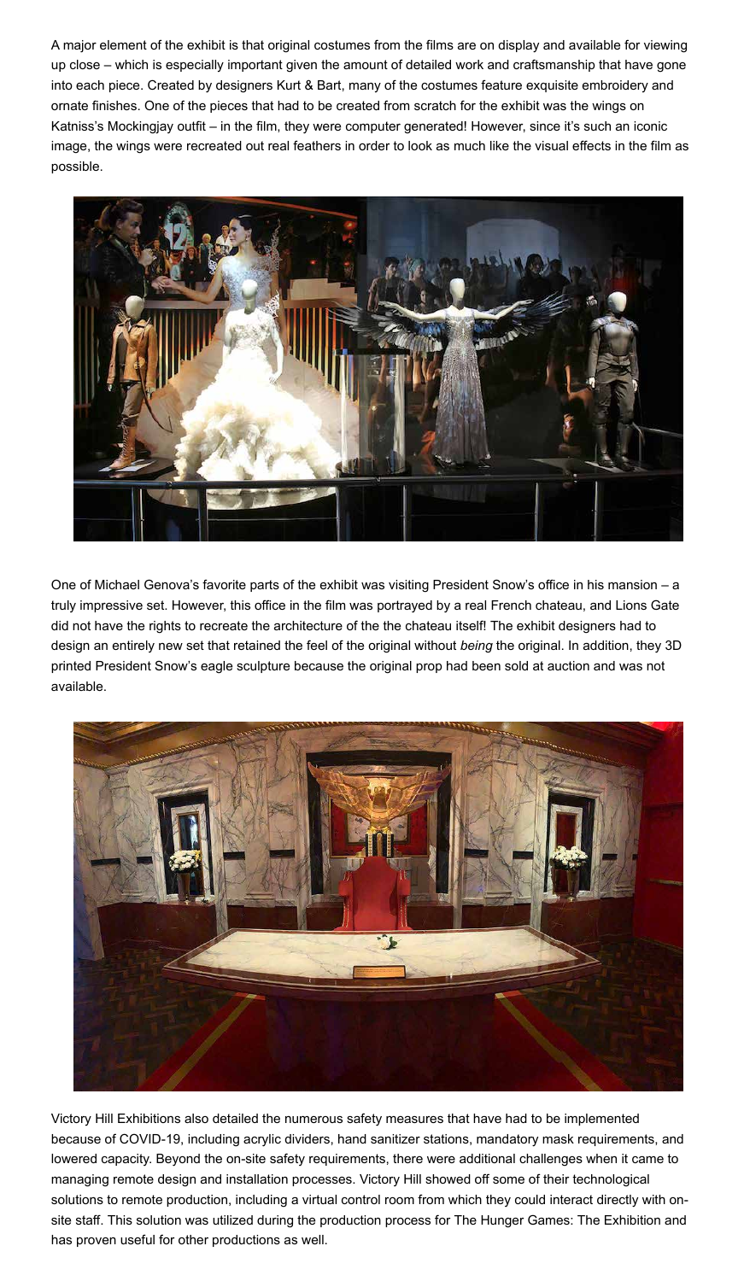A major element of the exhibit is that original costumes from the films are on display and available for viewing up close – which is especially important given the amount of detailed work and craftsmanship that have gone into each piece. Created by designers Kurt & Bart, many of the costumes feature exquisite embroidery and ornate finishes. One of the pieces that had to be created from scratch for the exhibit was the wings on Katniss's Mockingjay outfit – in the film, they were computer generated! However, since it's such an iconic image, the wings were recreated out real feathers in order to look as much like the visual effects in the film as possible.



One of Michael Genova's favorite parts of the exhibit was visiting President Snow's office in his mansion – a truly impressive set. However, this office in the film was portrayed by a real French chateau, and Lions Gate did not have the rights to recreate the architecture of the the chateau itself! The exhibit designers had to design an entirely new set that retained the feel of the original without *being* the original. In addition, they 3D printed President Snow's eagle sculpture because the original prop had been sold at auction and was not available.



Victory Hill Exhibitions also detailed the numerous safety measures that have had to be implemented because of COVID-19, including acrylic dividers, hand sanitizer stations, mandatory mask requirements, and lowered capacity. Beyond the on-site safety requirements, there were additional challenges when it came to managing remote design and installation processes. Victory Hill showed off some of their technological solutions to remote production, including a virtual control room from which they could interact directly with onsite staff. This solution was utilized during the production process for The Hunger Games: The Exhibition and has proven useful for other productions as well.